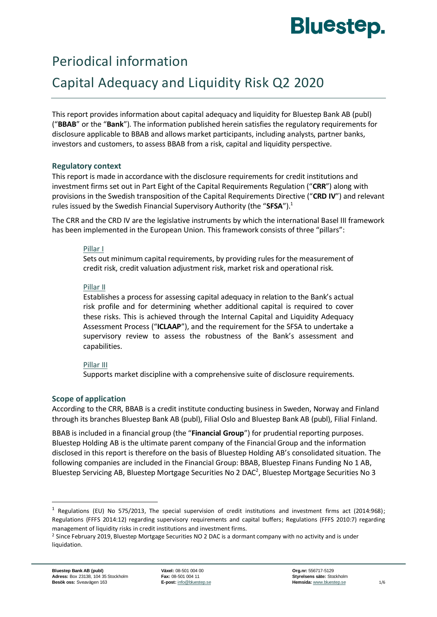# **Bluestep.**

# Periodical information

# Capital Adequacy and Liquidity Risk Q2 2020

This report provides information about capital adequacy and liquidity for Bluestep Bank AB (publ) ("**BBAB**" or the "**Bank**"). The information published herein satisfies the regulatory requirements for disclosure applicable to BBAB and allows market participants, including analysts, partner banks, investors and customers, to assess BBAB from a risk, capital and liquidity perspective.

## **Regulatory context**

This report is made in accordance with the disclosure requirements for credit institutions and investment firms set out in Part Eight of the Capital Requirements Regulation ("**CRR**") along with provisions in the Swedish transposition of the Capital Requirements Directive ("**CRD IV**") and relevant rules issued by the Swedish Financial Supervisory Authority (the "**SFSA**").<sup>1</sup>

The CRR and the CRD IV are the legislative instruments by which the international Basel III framework has been implemented in the European Union. This framework consists of three "pillars":

#### Pillar I

Sets out minimum capital requirements, by providing rules for the measurement of credit risk, credit valuation adjustment risk, market risk and operational risk.

#### Pillar II

Establishes a process for assessing capital adequacy in relation to the Bank's actual risk profile and for determining whether additional capital is required to cover these risks. This is achieved through the Internal Capital and Liquidity Adequacy Assessment Process ("**ICLAAP**"), and the requirement for the SFSA to undertake a supervisory review to assess the robustness of the Bank's assessment and capabilities.

#### Pillar III

Supports market discipline with a comprehensive suite of disclosure requirements.

## **Scope of application**

According to the CRR, BBAB is a credit institute conducting business in Sweden, Norway and Finland through its branches Bluestep Bank AB (publ), Filial Oslo and Bluestep Bank AB (publ), Filial Finland.

BBAB is included in a financial group (the "**Financial Group**") for prudential reporting purposes. Bluestep Holding AB is the ultimate parent company of the Financial Group and the information disclosed in this report is therefore on the basis of Bluestep Holding AB's consolidated situation. The following companies are included in the Financial Group: BBAB, Bluestep Finans Funding No 1 AB, Bluestep Servicing AB, Bluestep Mortgage Securities No 2 DAC<sup>2</sup>, Bluestep Mortgage Securities No 3

<sup>1</sup> Regulations (EU) No 575/2013, The special supervision of credit institutions and investment firms act (2014:968); Regulations (FFFS 2014:12) regarding supervisory requirements and capital buffers; Regulations (FFFS 2010:7) regarding management of liquidity risks in credit institutions and investment firms.

<sup>&</sup>lt;sup>2</sup> Since February 2019, Bluestep Mortgage Securities NO 2 DAC is a dormant company with no activity and is under liquidation.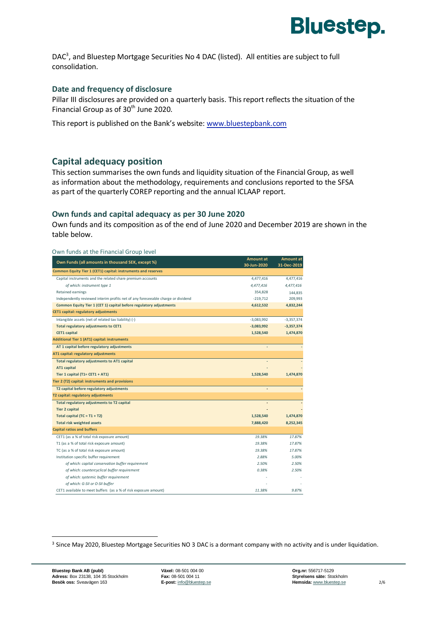

DAC<sup>3</sup>, and Bluestep Mortgage Securities No 4 DAC (listed). All entities are subject to full consolidation.

#### **Date and frequency of disclosure**

Pillar III disclosures are provided on a quarterly basis. This report reflects the situation of the Financial Group as of 30<sup>th</sup> June 2020.

This report is published on the Bank's website: [www.bluestepbank.com](http://www.bluestepbank.com/)

## **Capital adequacy position**

This section summarises the own funds and liquidity situation of the Financial Group, as well as information about the methodology, requirements and conclusions reported to the SFSA as part of the quarterly COREP reporting and the annual ICLAAP report.

#### **Own funds and capital adequacy as per 30 June 2020**

Own funds and its composition as of the end of June 2020 and December 2019 are shown in the table below.

|                                                                                  | <b>Amount at</b> | <b>Amount</b> at |
|----------------------------------------------------------------------------------|------------------|------------------|
| Own Funds (all amounts in thousand SEK, except %)                                | 30-Jun-2020      | 31-Dec-2019      |
| Common Equity Tier 1 (CET1) capital: instruments and reserves                    |                  |                  |
| Capital instruments and the related share premium accounts                       | 4,477,416        | 4,477,416        |
| of which: instrument type 1                                                      | 4,477,416        | 4,477,416        |
| Retained earnings                                                                | 354,828          | 144,835          |
| Independently reviewed interim profits net of any foreseeable charge or dividend | $-219,712$       | 209,993          |
| Common Equity Tier 1 (CET 1) capital before regulatory adjustments               | 4,612,532        | 4,832,244        |
| CET1 capital: regulatory adjustments                                             |                  |                  |
| Intangible assets (net of related tax liability) (-)                             | $-3,083,992$     | $-3,357,374$     |
| <b>Total regulatory adjustments to CET1</b>                                      | $-3,083,992$     | $-3,357,374$     |
| <b>CET1</b> capital                                                              | 1,528,540        | 1,474,870        |
| <b>Additional Tier 1 (AT1) capital: instruments</b>                              |                  |                  |
| AT 1 capital before regulatory adjustments                                       |                  |                  |
| AT1 capital: regulatory adjustments                                              |                  |                  |
| Total regulatory adjustments to AT1 capital                                      |                  |                  |
| <b>AT1 capital</b>                                                               |                  |                  |
| Tier 1 capital $(T1 = CET1 + AT1)$                                               | 1,528,540        | 1,474,870        |
| Tier 2 (T2) capital: instruments and provisions                                  |                  |                  |
| T2 capital before regulatory adjustments                                         |                  |                  |
| T2 capital: regulatory adjustments                                               |                  |                  |
| Total regulatory adjustments to T2 capital                                       |                  |                  |
| <b>Tier 2 capital</b>                                                            |                  |                  |
| Total capital (TC = $T1 + T2$ )                                                  | 1,528,540        | 1,474,870        |
| <b>Total risk weighted assets</b>                                                | 7,888,420        | 8,252,345        |
| <b>Capital ratios and buffers</b>                                                |                  |                  |
| CET1 (as a % of total risk exposure amount)                                      | 19.38%           | 17.87%           |
| T1 (as a % of total risk exposure amount)                                        | 19.38%           | 17.87%           |
| TC (as a % of total risk exposure amount)                                        | 19.38%           | 17.87%           |
| Institution specific buffer requirement                                          | 2.88%            | 5.00%            |
| of which: capital conservation buffer requirement                                | 2.50%            | 2.50%            |
| of which: countercyclical buffer requirement                                     | 0.38%            | 2.50%            |
| of which: systemic buffer requirement                                            |                  |                  |
| of which: G-SII or O-SII buffer                                                  |                  |                  |
| CET1 available to meet buffers (as a % of risk exposure amount)                  | 11.38%           | 9.87%            |

<sup>3</sup> Since May 2020, Bluestep Mortgage Securities NO 3 DAC is a dormant company with no activity and is under liquidation.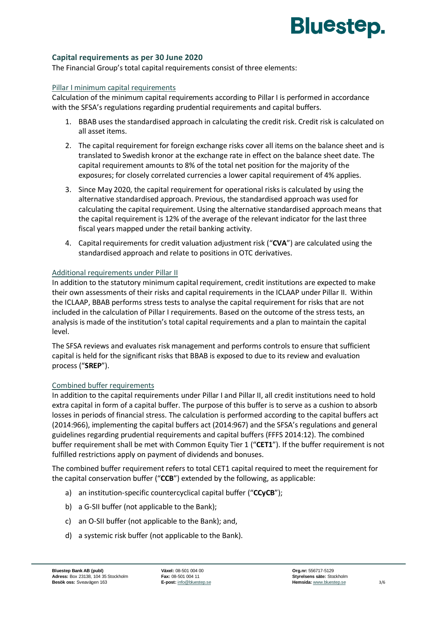# **Bluestep.**

#### **Capital requirements as per 30 June 2020**

The Financial Group's total capital requirements consist of three elements:

#### Pillar I minimum capital requirements

Calculation of the minimum capital requirements according to Pillar I is performed in accordance with the SFSA's regulations regarding prudential requirements and capital buffers.

- 1. BBAB uses the standardised approach in calculating the credit risk. Credit risk is calculated on all asset items.
- 2. The capital requirement for foreign exchange risks cover all items on the balance sheet and is translated to Swedish kronor at the exchange rate in effect on the balance sheet date. The capital requirement amounts to 8% of the total net position for the majority of the exposures; for closely correlated currencies a lower capital requirement of 4% applies.
- 3. Since May 2020, the capital requirement for operational risks is calculated by using the alternative standardised approach. Previous, the standardised approach was used for calculating the capital requirement. Using the alternative standardised approach means that the capital requirement is 12% of the average of the relevant indicator for the last three fiscal years mapped under the retail banking activity.
- 4. Capital requirements for credit valuation adjustment risk ("**CVA**") are calculated using the standardised approach and relate to positions in OTC derivatives.

#### Additional requirements under Pillar II

In addition to the statutory minimum capital requirement, credit institutions are expected to make their own assessments of their risks and capital requirements in the ICLAAP under Pillar II. Within the ICLAAP, BBAB performs stress tests to analyse the capital requirement for risks that are not included in the calculation of Pillar I requirements. Based on the outcome of the stress tests, an analysis is made of the institution's total capital requirements and a plan to maintain the capital level.

The SFSA reviews and evaluates risk management and performs controls to ensure that sufficient capital is held for the significant risks that BBAB is exposed to due to its review and evaluation process ("**SREP**").

#### Combined buffer requirements

In addition to the capital requirements under Pillar I and Pillar II, all credit institutions need to hold extra capital in form of a capital buffer. The purpose of this buffer is to serve as a cushion to absorb losses in periods of financial stress. The calculation is performed according to the capital buffers act (2014:966), implementing the capital buffers act (2014:967) and the SFSA's regulations and general guidelines regarding prudential requirements and capital buffers (FFFS 2014:12). The combined buffer requirement shall be met with Common Equity Tier 1 ("**CET1**"). If the buffer requirement is not fulfilled restrictions apply on payment of dividends and bonuses.

The combined buffer requirement refers to total CET1 capital required to meet the requirement for the capital conservation buffer ("**CCB**") extended by the following, as applicable:

- a) an institution-specific countercyclical capital buffer ("**CCyCB**");
- b) a G-SII buffer (not applicable to the Bank);
- c) an O-SII buffer (not applicable to the Bank); and,
- d) a systemic risk buffer (not applicable to the Bank).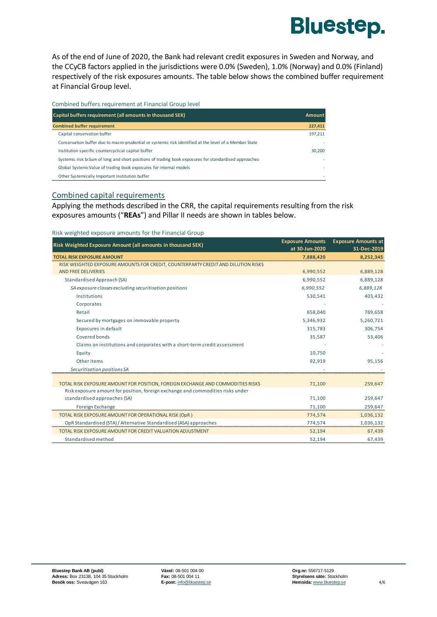

As of the end of June of 2020, the Bank had relevant credit exposures in Sweden and Norway, and the CCyCB factors applied in the jurisdictions were 0.0% (Sweden), 1.0% (Norway) and 0.0% (Finland) respectively of the risk exposures amounts. The table below shows the combined buffer requirement at Financial Group level.

|  | Combined buffers requirement at Financial Group level |  |  |
|--|-------------------------------------------------------|--|--|
|  |                                                       |  |  |

| Capital buffers requirement (all amounts in thousand SEK)                                              | <b>Amount</b> |
|--------------------------------------------------------------------------------------------------------|---------------|
| <b>Combined buffer requirement</b>                                                                     | 227,411       |
| Capital conservation buffer                                                                            | 197,211       |
| Conservation buffer due to macro-prudential or systemic risk identified at the level of a Member State |               |
| Institution specific countercyclical capital buffer                                                    | 30,200        |
| Systemic risk bisum of long and short positions of trading book exposures for standardised approaches  |               |
| Global Systemic Value of trading book exposures for internal models                                    |               |
| Other Systemically Important Institution buffer                                                        |               |

#### Combined capital requirements

Applying the methods described in the CRR, the capital requirements resulting from the risk exposures amounts ("**REAs**") and Pillar II needs are shown in tables below.

| Risk weighted exposure amounts for the Financial Group                            |                         |                            |
|-----------------------------------------------------------------------------------|-------------------------|----------------------------|
| Risk Weighted Exposure Amount (all amounts in thousand SEK)                       | <b>Exposure Amounts</b> | <b>Exposure Amounts at</b> |
|                                                                                   | at 30-Jun-2020          | 31-Dec-2019                |
| <b>TOTAL RISK EXPOSURE AMOUNT</b>                                                 | 7,888,420               | 8,252,345                  |
| RISK WEIGHTED EXPOSURE AMOUNTS FOR CREDIT, COUNTERPARTY CREDIT AND DILUTION RISKS |                         |                            |
| <b>AND FREE DELIVERIES</b>                                                        | 6,990,552               | 6,889,128                  |
| Standardised Approach (SA)                                                        | 6,990,552               | 6,889,128                  |
| SA exposure classes excluding securitisation positions                            | 6,990,552               | 6,889,128                  |
| Institutions                                                                      | 530,541                 | 403,432                    |
| Corporates                                                                        |                         |                            |
| Retail                                                                            | 658,040                 | 769,658                    |
| Secured by mortgages on immovable property                                        | 5,346,932               | 5,260,721                  |
| Exposures in default                                                              | 315,783                 | 306,754                    |
| Covered bonds                                                                     | 35,587                  | 53,406                     |
| Claims on institutions and corporates with a short-term credit assessment         |                         |                            |
| Equity                                                                            | 10,750                  |                            |
| Other items                                                                       | 92,919                  | 95,156                     |
| Securitisation positions SA                                                       |                         |                            |
|                                                                                   |                         |                            |
| TOTAL RISK EXPOSURE AMOUNT FOR POSITION, FOREIGN EXCHANGE AND COMMODITIES RISKS   | 71,100                  | 259,647                    |
| Risk exposure amount for position, foreign exchange and commodities risks under   |                         |                            |
| standardised approaches (SA)                                                      | 71,100                  | 259,647                    |
| Foreign Exchange                                                                  | 71,100                  | 259,647                    |
| TOTAL RISK EXPOSURE AMOUNT FOR OPERATIONAL RISK (OpR)                             | 774,574                 | 1,036,132                  |
| OpR Standardised (STA) / Alternative Standardised (ASA) approaches                | 774,574                 | 1,036,132                  |
| TOTAL RISK EXPOSURE AMOUNT FOR CREDIT VALUATION ADJUSTMENT                        | 52,194                  | 67,439                     |
| Standardised method                                                               | 52,194                  | 67,439                     |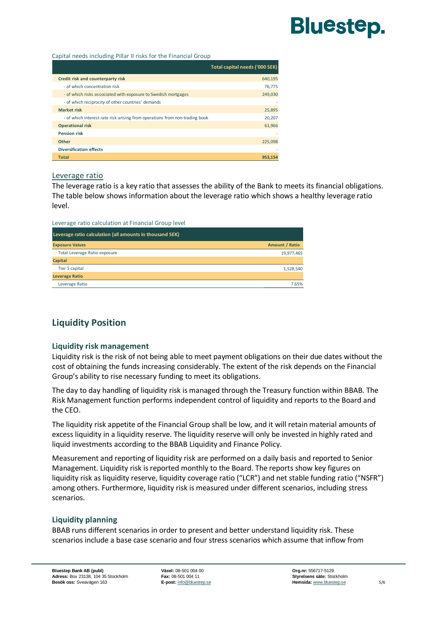# **Bluestep.**

#### Capital needs including Pillar II risks for the Financial Group

|                                                                             | Total capital needs ('000 SEK) |
|-----------------------------------------------------------------------------|--------------------------------|
| Credit risk and counterparty risk                                           | 640,195                        |
| - of which concentration risk                                               | 76,775                         |
| - of which risks associated with exposure to Swedish mortgages              | 249,030                        |
| - of which reciprocity of other countries' demands                          |                                |
| <b>Market risk</b>                                                          | 25,895                         |
| - of which interest rate risk arising from operations from non-trading book | 20,207                         |
| <b>Operational risk</b>                                                     | 61,966                         |
| <b>Pension risk</b>                                                         | ٠                              |
| <b>Other</b>                                                                | 225,098                        |
| <b>Diversification effects</b>                                              | ٠                              |
| <b>Total</b>                                                                | 953.154                        |

#### Leverage ratio

The leverage ratio is a key ratio that assesses the ability of the Bank to meets its financial obligations. The table below shows information about the leverage ratio which shows a healthy leverage ratio level.

#### Leverage ratio calculation at Financial Group level

| Leverage ratio calculation (all amounts in thousand SEK) |                       |
|----------------------------------------------------------|-----------------------|
| <b>Exposure Values</b>                                   | <b>Amount / Ratio</b> |
| Total Leverage Ratio exposure                            | 19,977,465            |
| <b>Capital</b>                                           |                       |
| Tier 1 capital                                           | 1,528,540             |
| <b>Leverage Ratio</b>                                    |                       |
| Leverage Ratio                                           | 7.65%                 |

## **Liquidity Position**

#### **Liquidity risk management**

Liquidity risk is the risk of not being able to meet payment obligations on their due dates without the cost of obtaining the funds increasing considerably. The extent of the risk depends on the Financial Group's ability to rise necessary funding to meet its obligations.

The day to day handling of liquidity risk is managed through the Treasury function within BBAB. The Risk Management function performs independent control of liquidity and reports to the Board and the CEO.

The liquidity risk appetite of the Financial Group shall be low, and it will retain material amounts of excess liquidity in a liquidity reserve. The liquidity reserve will only be invested in highly rated and liquid investments according to the BBAB Liquidity and Finance Policy.

Measurement and reporting of liquidity risk are performed on a daily basis and reported to Senior Management. Liquidity risk is reported monthly to the Board. The reports show key figures on liquidity risk as liquidity reserve, liquidity coverage ratio ("LCR") and net stable funding ratio ("NSFR") among others. Furthermore, liquidity risk is measured under different scenarios, including stress scenarios.

## **Liquidity planning**

BBAB runs different scenarios in order to present and better understand liquidity risk. These scenarios include a base case scenario and four stress scenarios which assume that inflow from

**Bluestep Bank AB (publ) Växel:** 08-501 004 00 **Org.nr:** 556717-5129 **Adress:** Box 23138, 104 35 Stockholm **Fax:** 08-501 004 11 **Styrelsens säte:** Stockholm **Besök oss:** Sveavägen 163 **E-post:** [info@bluestep.se](mailto:info@bluestep.se) **Access 1998 Hemsida:** [www.bluestep.se](http://www.bluestep.se/) 5/6